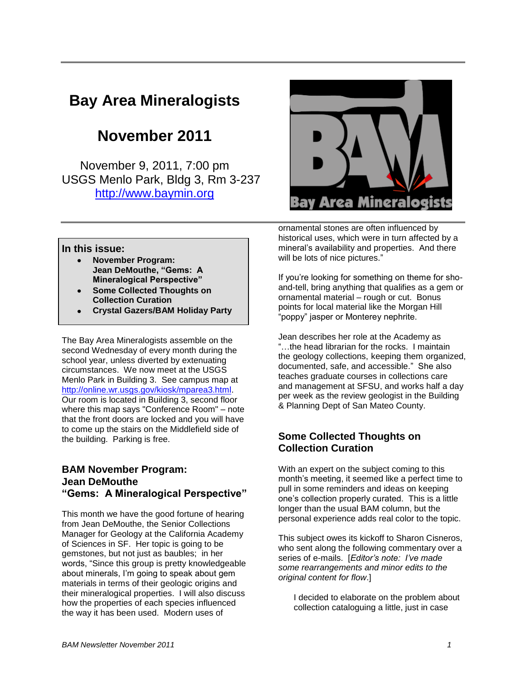# **Bay Area Mineralogists**

# **November 2011**

November 9, 2011, 7:00 pm USGS Menlo Park, Bldg 3, Rm 3-237 [http://www.baymin.org](http://www.baymin.org/)



ornamental stones are often influenced by historical uses, which were in turn affected by a mineral's availability and properties. And there will be lots of nice pictures."

#### **In this issue:**

- **November Program: Jean DeMouthe, "Gems: A Mineralogical Perspective"**
- **Some Collected Thoughts on Collection Curation**
- **Crystal Gazers/BAM Holiday Party**

The Bay Area Mineralogists assemble on the second Wednesday of every month during the school year, unless diverted by extenuating circumstances. We now meet at the USGS Menlo Park in Building 3. See campus map at [http://online.wr.usgs.gov/kiosk/mparea3.html.](http://online.wr.usgs.gov/kiosk/mparea3.html) Our room is located in Building 3, second floor where this map says "Conference Room" – note that the front doors are locked and you will have to come up the stairs on the Middlefield side of the building. Parking is free.

### **BAM November Program: Jean DeMouthe "Gems: A Mineralogical Perspective"**

This month we have the good fortune of hearing from Jean DeMouthe, the Senior Collections Manager for Geology at the California Academy of Sciences in SF. Her topic is going to be gemstones, but not just as baubles; in her words, "Since this group is pretty knowledgeable about minerals, I'm going to speak about gem materials in terms of their geologic origins and their mineralogical properties. I will also discuss how the properties of each species influenced the way it has been used. Modern uses of

If you're looking for something on theme for shoand-tell, bring anything that qualifies as a gem or ornamental material – rough or cut. Bonus points for local material like the Morgan Hill "poppy" jasper or Monterey nephrite.

Jean describes her role at the Academy as "…the head librarian for the rocks. I maintain the geology collections, keeping them organized, documented, safe, and accessible." She also teaches graduate courses in collections care and management at SFSU, and works half a day per week as the review geologist in the Building & Planning Dept of San Mateo County.

### **Some Collected Thoughts on Collection Curation**

With an expert on the subject coming to this month's meeting, it seemed like a perfect time to pull in some reminders and ideas on keeping one's collection properly curated. This is a little longer than the usual BAM column, but the personal experience adds real color to the topic.

This subject owes its kickoff to Sharon Cisneros, who sent along the following commentary over a series of e-mails. [*Editor's note: I've made some rearrangements and minor edits to the original content for flow*.]

I decided to elaborate on the problem about collection cataloguing a little, just in case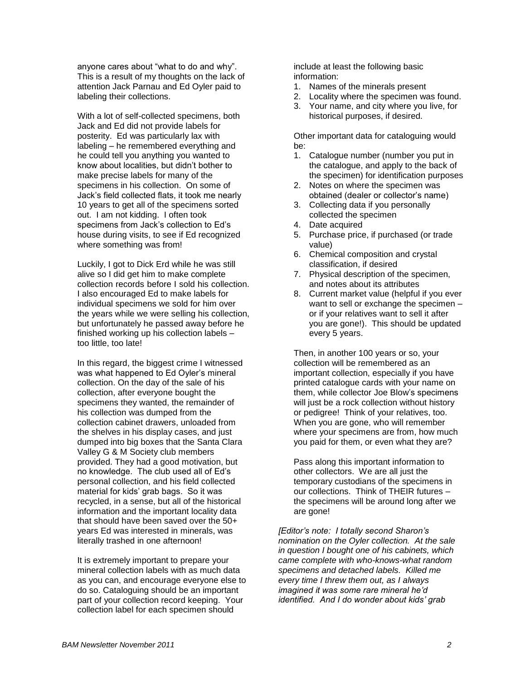anyone cares about "what to do and why". This is a result of my thoughts on the lack of attention Jack Parnau and Ed Oyler paid to labeling their collections.

With a lot of self-collected specimens, both Jack and Ed did not provide labels for posterity. Ed was particularly lax with labeling – he remembered everything and he could tell you anything you wanted to know about localities, but didn't bother to make precise labels for many of the specimens in his collection. On some of Jack's field collected flats, it took me nearly 10 years to get all of the specimens sorted out. I am not kidding. I often took specimens from Jack's collection to Ed's house during visits, to see if Ed recognized where something was from!

Luckily, I got to Dick Erd while he was still alive so I did get him to make complete collection records before I sold his collection. I also encouraged Ed to make labels for individual specimens we sold for him over the years while we were selling his collection, but unfortunately he passed away before he finished working up his collection labels – too little, too late!

In this regard, the biggest crime I witnessed was what happened to Ed Oyler's mineral collection. On the day of the sale of his collection, after everyone bought the specimens they wanted, the remainder of his collection was dumped from the collection cabinet drawers, unloaded from the shelves in his display cases, and just dumped into big boxes that the Santa Clara Valley G & M Society club members provided. They had a good motivation, but no knowledge. The club used all of Ed's personal collection, and his field collected material for kids' grab bags. So it was recycled, in a sense, but all of the historical information and the important locality data that should have been saved over the 50+ years Ed was interested in minerals, was literally trashed in one afternoon!

It is extremely important to prepare your mineral collection labels with as much data as you can, and encourage everyone else to do so. Cataloguing should be an important part of your collection record keeping. Your collection label for each specimen should

include at least the following basic information:

- 1. Names of the minerals present
- 2. Locality where the specimen was found.
- 3. Your name, and city where you live, for historical purposes, if desired.

Other important data for cataloguing would be:

- 1. Catalogue number (number you put in the catalogue, and apply to the back of the specimen) for identification purposes
- 2. Notes on where the specimen was obtained (dealer or collector's name)
- 3. Collecting data if you personally collected the specimen
- 4. Date acquired
- 5. Purchase price, if purchased (or trade value)
- 6. Chemical composition and crystal classification, if desired
- 7. Physical description of the specimen, and notes about its attributes
- 8. Current market value (helpful if you ever want to sell or exchange the specimen or if your relatives want to sell it after you are gone!). This should be updated every 5 years.

Then, in another 100 years or so, your collection will be remembered as an important collection, especially if you have printed catalogue cards with your name on them, while collector Joe Blow's specimens will just be a rock collection without history or pedigree! Think of your relatives, too. When you are gone, who will remember where your specimens are from, how much you paid for them, or even what they are?

Pass along this important information to other collectors. We are all just the temporary custodians of the specimens in our collections. Think of THEIR futures – the specimens will be around long after we are gone!

*[Editor's note: I totally second Sharon's nomination on the Oyler collection. At the sale in question I bought one of his cabinets, which came complete with who-knows-what random specimens and detached labels. Killed me every time I threw them out, as I always imagined it was some rare mineral he'd identified. And I do wonder about kids' grab*